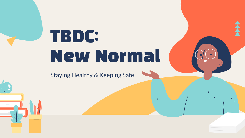# TBDC: New Normal

 $\mathbf{L}$ 

Staying Healthy & Keeping Safe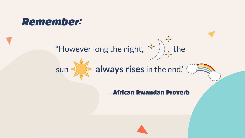## Remember:



# sun **always rises** in the end."

### — African Rwandan Proverb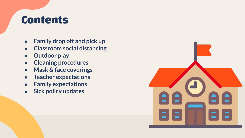## **Contents**

- **● Family drop off and pick up**
- **● Classroom social distancing**
- **● Outdoor play**
- **● Cleaning procedures**
- **● Mask & face coverings**
- **● Teacher expectations**
- **● Family expectations**
- **● Sick policy updates**

|                             | a       |
|-----------------------------|---------|
| $\blacksquare \blacksquare$ | 212     |
| 3 E 3                       | E<br>٣. |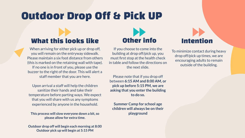# Outdoor Drop Off & Pick UP

### What this looks like

When arriving for either pick up or drop off, you will remain on the entryway sidewalk. Please maintain a six foot distance from others (this is marked on the retaining wall with tape). If no one is in front of you, please use the buzzer to the right of the door. This will alert a staff member that you are here.

Upon arrival a staff will help the children sanitize their hands and take their temperature before parting ways. We expect that you will share with us any symptoms experienced by anyone in the household.

**This process will slow everyone down a bit, so please allow for extra time.**

**Outdoor drop off will begin each morning at 8:00 Outdoor pick up will begin at 5:15 PM**

# Other info Intention

If you choose to come into the building at drop off/pick up, you must first stop at the health check in table and follow the directions on the next slide.

Please note that if you drop off between **6:15 AM and 8:00 AM, or pick up before 5:15 PM, we are asking that you enter the building to do so.** 

**Summer Camp for school age children will always be on their playground**

To minimize contact during heavy drop off/pick up times, we are encouraging adults to remain outside of the building.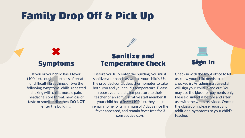# Family Drop Off & Pick Up



or your child has a f<br>cough, shortness o<br>ulty breathing, or t<br>symptoms: chills, r<br>i, with chills, muscle<br>e, sore throat, new<br>mell or diarrhea, D<br>enter the building. If you or your child has a fever (100.4+), cough, shortness of breath or difficulty breathing, or two the following symptoms: chills, repeated shaking with chills, muscle pain, headache, sore throat, new loss of taste or smell or diarrhea, **DO NOT** enter the building.

### Sanitize and Symptoms Temperature Check Sign In

y enter the building<br>
sa well as your<br>
ntactless thermom<br>
pur child's temperature<br>
child's temperature<br>
dministrative staff<br>
sa fever (100.4+), t<br>
r a minimum of 7 d;<br>
d, and remain fever Before you fully enter the building, you must sanitize your hands as well as your child's. Use the provided contactless thermometer to take both, you and your child's temperature. Please report your child's temperature to their teacher or an administrative staff member. If your child has a fever (100.4+), they must remain home for a minimum of 7 days since the fever appeared, and remain fever free for 3 consecutive days.



ith the front office<br>our child needs to b<br>. An administrative<br>our child in and out.<br>e kiosk for paymen<br>nfect it before and<br>ne wipes provided. (<br>om, please report a Check in with the front office to let us know your child needs to be checked in. An administrative staff will sign your child in and out. You may use the kiosk for payments only. Please disinfect it before and after use with the wipes provided. Once in the classroom, please report any additional symptoms to your child's teacher.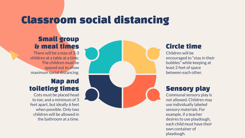# Classroom social distancing

### Small group & meal times

There will be a max of  $2-3$ children at a table at a time. The children must be spaced out to allow maximum social distancing.

### Nap and toileting times

Cots must be placed head to toe, and a minimum of 3 feet apart, but ideally 6 feet when possible. Only two children will be allowed in the bathroom at a time.



### Circle time

Children will be encouraged to "stay in their bubbles" while keeping at least 2 feet of space between each other.

### Sensory play

Communal sensory play is not allowed. Children may use individually labeled sensory materials. For example, if a teacher desires to use playdough, each child must have their own container of playdough.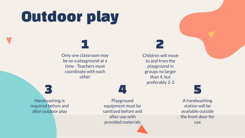# Outdoor play

Only one classroom may be on a playground at a time - Teachers must coordinate with each other

1

Children will move to and from the playground in groups no larger than 4, but preferably 2-3

2

3 Handwashing is required before and after outdoor play

Playground equipment must be sanitized before and after use with provided materials

4 **5** 

A handwashing station will be available outside the front door for use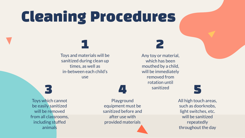# Cleaning Procedures

Toys and materials will be sanitized during clean up times, as well as in-between each child's use

1

Any toy or material, which has been mouthed by a child, will be immediately removed from rotation until **sanitized** 3 **4** sanitized 5

2

Toys which cannot be easily sanitized will be removed from all classrooms, including stuffed animals

Playground equipment must be sanitized before and after use with provided materials

All high touch areas, such as doorknobs, light switches, etc. will be sanitized repeatedly throughout the day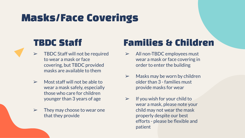# Masks/Face Coverings

- $\triangleright$  TBDC Staff will not be required to wear a mask or face covering, but TBDC provided masks are available to them
- $\triangleright$  Most staff will not be able to wear a mask safely, especially those who care for children younger than 3 years of age
- $\triangleright$  They may choose to wear one that they provide

### TBDC Staff Families & Children

- ➢ All non-TBDC employees must wear a mask or face covering in order to enter the building
- $\triangleright$  Masks may be worn by children older than 3 - families must provide masks for wear
- $\triangleright$  If you wish for your child to wear a mask, please note your child may not wear the mask properly despite our best efforts - please be flexible and patient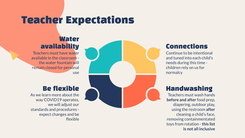# Teacher Expectations

### **Water** availability

Teachers must have water available in the classroom the water fountain will remain closed for personal use

### Be flexible

As we learn more about the way COVID19 operates, we will adjust our standards and procedures expect changes and be flexible

### Connections

Continue to be intentional and tuned into each child's needs during this time children rely on us for normalcy

### Handwashing

Teachers must wash hands **before and after** food prep, diapering, outdoor play, using the restroom **after**  cleaning a child's face, removing containmentated toys from rotation - **this list is not all inclusive**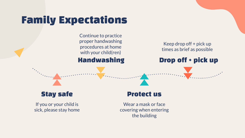# Family Expectations

Continue to practice proper handwashing procedures at home with your child(ren) Handwashing

Keep drop off + pick up times as brief as possible

Drop off + pick up

### Stay safe

If you or your child is sick, please stay home

### Protect us

Wear a mask or face covering when entering the building